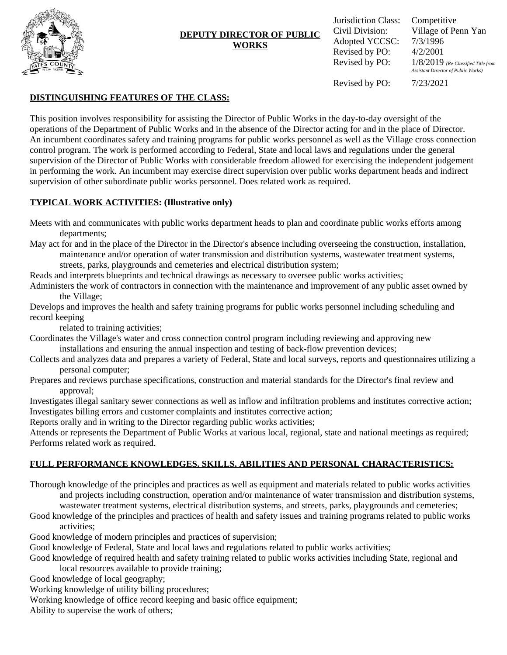

# **DEPUTY DIRECTOR OF PUBLIC WORKS**

Jurisdiction Class: Competitive Civil Division: Village of Penn Yan Adopted YCCSC: Revised by PO: Revised by PO:

7/3/1996 4/2/2001 1/8/2019 *(Re-Classified Title from Assistant Director of Public Works)*

Revised by PO:

7/23/2021

## **DISTINGUISHING FEATURES OF THE CLASS:**

This position involves responsibility for assisting the Director of Public Works in the day-to-day oversight of the operations of the Department of Public Works and in the absence of the Director acting for and in the place of Director. An incumbent coordinates safety and training programs for public works personnel as well as the Village cross connection control program. The work is performed according to Federal, State and local laws and regulations under the general supervision of the Director of Public Works with considerable freedom allowed for exercising the independent judgement in performing the work. An incumbent may exercise direct supervision over public works department heads and indirect supervision of other subordinate public works personnel. Does related work as required.

### **TYPICAL WORK ACTIVITIES: (Illustrative only)**

Meets with and communicates with public works department heads to plan and coordinate public works efforts among departments;

May act for and in the place of the Director in the Director's absence including overseeing the construction, installation, maintenance and/or operation of water transmission and distribution systems, wastewater treatment systems,

streets, parks, playgrounds and cemeteries and electrical distribution system;

Reads and interprets blueprints and technical drawings as necessary to oversee public works activities;

Administers the work of contractors in connection with the maintenance and improvement of any public asset owned by the Village;

Develops and improves the health and safety training programs for public works personnel including scheduling and record keeping

related to training activities;

- Coordinates the Village's water and cross connection control program including reviewing and approving new installations and ensuring the annual inspection and testing of back-flow prevention devices;
- Collects and analyzes data and prepares a variety of Federal, State and local surveys, reports and questionnaires utilizing a personal computer;
- Prepares and reviews purchase specifications, construction and material standards for the Director's final review and approval;

Investigates illegal sanitary sewer connections as well as inflow and infiltration problems and institutes corrective action; Investigates billing errors and customer complaints and institutes corrective action;

Reports orally and in writing to the Director regarding public works activities;

Attends or represents the Department of Public Works at various local, regional, state and national meetings as required; Performs related work as required.

# **FULL PERFORMANCE KNOWLEDGES, SKILLS, ABILITIES AND PERSONAL CHARACTERISTICS:**

- Thorough knowledge of the principles and practices as well as equipment and materials related to public works activities and projects including construction, operation and/or maintenance of water transmission and distribution systems, wastewater treatment systems, electrical distribution systems, and streets, parks, playgrounds and cemeteries;
- Good knowledge of the principles and practices of health and safety issues and training programs related to public works activities;

Good knowledge of modern principles and practices of supervision;

Good knowledge of Federal, State and local laws and regulations related to public works activities;

Good knowledge of required health and safety training related to public works activities including State, regional and local resources available to provide training;

Good knowledge of local geography;

Working knowledge of utility billing procedures;

Working knowledge of office record keeping and basic office equipment;

Ability to supervise the work of others;